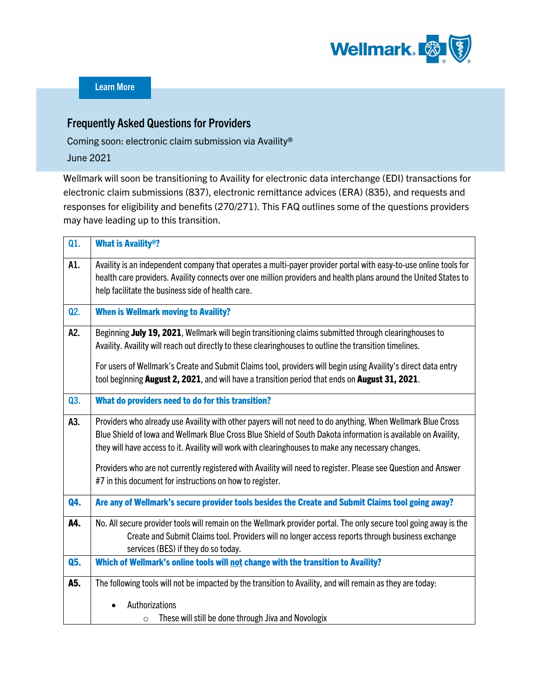

## Frequently Asked Questions for Providers

Coming soon: electronic claim submission via Availity® June 2021

Wellmark will soon be transitioning to Availity for electronic data interchange (EDI) transactions for electronic claim submissions (837), electronic remittance advices (ERA) (835), and requests and responses for eligibility and benefits (270/271). This FAQ outlines some of the questions providers may have leading up to this transition.

| Q1. | <b>What is Availity®?</b>                                                                                                                                                                                                                                                                                                                                                                                                                                                                                        |  |  |  |  |  |  |
|-----|------------------------------------------------------------------------------------------------------------------------------------------------------------------------------------------------------------------------------------------------------------------------------------------------------------------------------------------------------------------------------------------------------------------------------------------------------------------------------------------------------------------|--|--|--|--|--|--|
| A1. | Availity is an independent company that operates a multi-payer provider portal with easy-to-use online tools for<br>health care providers. Availity connects over one million providers and health plans around the United States to<br>help facilitate the business side of health care.                                                                                                                                                                                                                        |  |  |  |  |  |  |
| Q2. | <b>When is Wellmark moving to Availity?</b>                                                                                                                                                                                                                                                                                                                                                                                                                                                                      |  |  |  |  |  |  |
| A2. | Beginning July 19, 2021, Wellmark will begin transitioning claims submitted through clearinghouses to<br>Availity. Availity will reach out directly to these clearinghouses to outline the transition timelines.<br>For users of Wellmark's Create and Submit Claims tool, providers will begin using Availity's direct data entry<br>tool beginning August 2, 2021, and will have a transition period that ends on August 31, 2021.                                                                             |  |  |  |  |  |  |
| Q3. | What do providers need to do for this transition?                                                                                                                                                                                                                                                                                                                                                                                                                                                                |  |  |  |  |  |  |
| A3. | Providers who already use Availity with other payers will not need to do anything. When Wellmark Blue Cross<br>Blue Shield of Iowa and Wellmark Blue Cross Blue Shield of South Dakota information is available on Availity,<br>they will have access to it. Availity will work with clearinghouses to make any necessary changes.<br>Providers who are not currently registered with Availity will need to register. Please see Question and Answer<br>#7 in this document for instructions on how to register. |  |  |  |  |  |  |
| Q4. | Are any of Wellmark's secure provider tools besides the Create and Submit Claims tool going away?                                                                                                                                                                                                                                                                                                                                                                                                                |  |  |  |  |  |  |
| A4. | No. All secure provider tools will remain on the Wellmark provider portal. The only secure tool going away is the<br>Create and Submit Claims tool. Providers will no longer access reports through business exchange<br>services (BES) if they do so today.                                                                                                                                                                                                                                                     |  |  |  |  |  |  |
| Q5. | Which of Wellmark's online tools will not change with the transition to Availity?                                                                                                                                                                                                                                                                                                                                                                                                                                |  |  |  |  |  |  |
| A5. | The following tools will not be impacted by the transition to Availity, and will remain as they are today:<br>Authorizations<br>These will still be done through Jiva and Novologix<br>$\circ$                                                                                                                                                                                                                                                                                                                   |  |  |  |  |  |  |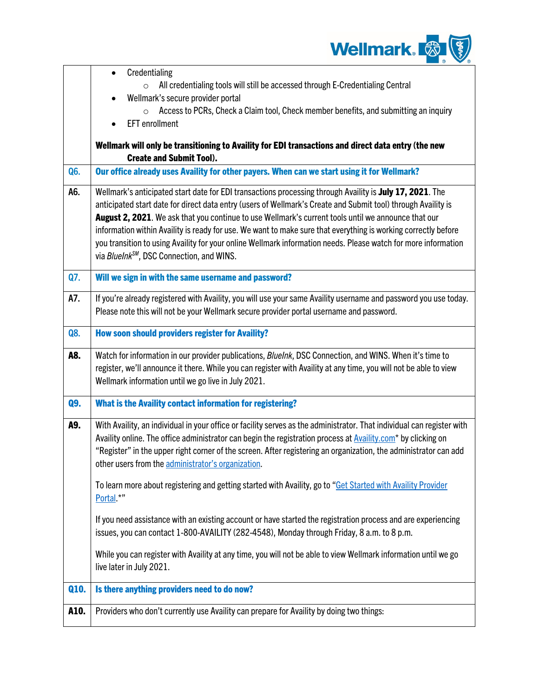

|      | Credentialing<br>$\bullet$                                                                                                                                                                                                                                                                                                                                                                                                                                                                                                                                                                                                    |  |  |  |  |  |  |
|------|-------------------------------------------------------------------------------------------------------------------------------------------------------------------------------------------------------------------------------------------------------------------------------------------------------------------------------------------------------------------------------------------------------------------------------------------------------------------------------------------------------------------------------------------------------------------------------------------------------------------------------|--|--|--|--|--|--|
|      | All credentialing tools will still be accessed through E-Credentialing Central<br>$\circ$<br>Wellmark's secure provider portal                                                                                                                                                                                                                                                                                                                                                                                                                                                                                                |  |  |  |  |  |  |
|      | Access to PCRs, Check a Claim tool, Check member benefits, and submitting an inquiry<br>$\circ$                                                                                                                                                                                                                                                                                                                                                                                                                                                                                                                               |  |  |  |  |  |  |
|      | <b>EFT</b> enrollment                                                                                                                                                                                                                                                                                                                                                                                                                                                                                                                                                                                                         |  |  |  |  |  |  |
|      | Wellmark will only be transitioning to Availity for EDI transactions and direct data entry (the new                                                                                                                                                                                                                                                                                                                                                                                                                                                                                                                           |  |  |  |  |  |  |
|      | <b>Create and Submit Tool).</b><br>Our office already uses Availity for other payers. When can we start using it for Wellmark?                                                                                                                                                                                                                                                                                                                                                                                                                                                                                                |  |  |  |  |  |  |
| Q6.  |                                                                                                                                                                                                                                                                                                                                                                                                                                                                                                                                                                                                                               |  |  |  |  |  |  |
| A6.  | Wellmark's anticipated start date for EDI transactions processing through Availity is July 17, 2021. The<br>anticipated start date for direct data entry (users of Wellmark's Create and Submit tool) through Availity is<br>August 2, 2021. We ask that you continue to use Wellmark's current tools until we announce that our<br>information within Availity is ready for use. We want to make sure that everything is working correctly before<br>you transition to using Availity for your online Wellmark information needs. Please watch for more information<br>via BlueInk <sup>SM</sup> , DSC Connection, and WINS. |  |  |  |  |  |  |
| Q7.  | Will we sign in with the same username and password?                                                                                                                                                                                                                                                                                                                                                                                                                                                                                                                                                                          |  |  |  |  |  |  |
| A7.  | If you're already registered with Availity, you will use your same Availity username and password you use today.<br>Please note this will not be your Wellmark secure provider portal username and password.                                                                                                                                                                                                                                                                                                                                                                                                                  |  |  |  |  |  |  |
| Q8.  | How soon should providers register for Availity?                                                                                                                                                                                                                                                                                                                                                                                                                                                                                                                                                                              |  |  |  |  |  |  |
| A8.  | Watch for information in our provider publications, Bluelnk, DSC Connection, and WINS. When it's time to<br>register, we'll announce it there. While you can register with Availity at any time, you will not be able to view<br>Wellmark information until we go live in July 2021.                                                                                                                                                                                                                                                                                                                                          |  |  |  |  |  |  |
| Q9.  | What is the Availity contact information for registering?                                                                                                                                                                                                                                                                                                                                                                                                                                                                                                                                                                     |  |  |  |  |  |  |
| A9.  | With Availity, an individual in your office or facility serves as the administrator. That individual can register with<br>Availity online. The office administrator can begin the registration process at <b>Availity.com</b> * by clicking on<br>"Register" in the upper right corner of the screen. After registering an organization, the administrator can add<br>other users from the administrator's organization.                                                                                                                                                                                                      |  |  |  |  |  |  |
|      | To learn more about registering and getting started with Availity, go to "Get Started with Availity Provider<br>Portal.*"                                                                                                                                                                                                                                                                                                                                                                                                                                                                                                     |  |  |  |  |  |  |
|      | If you need assistance with an existing account or have started the registration process and are experiencing<br>issues, you can contact 1-800-AVAILITY (282-4548), Monday through Friday, 8 a.m. to 8 p.m.                                                                                                                                                                                                                                                                                                                                                                                                                   |  |  |  |  |  |  |
|      | While you can register with Availity at any time, you will not be able to view Wellmark information until we go<br>live later in July 2021.                                                                                                                                                                                                                                                                                                                                                                                                                                                                                   |  |  |  |  |  |  |
| Q10. | Is there anything providers need to do now?                                                                                                                                                                                                                                                                                                                                                                                                                                                                                                                                                                                   |  |  |  |  |  |  |
| A10. | Providers who don't currently use Availity can prepare for Availity by doing two things:                                                                                                                                                                                                                                                                                                                                                                                                                                                                                                                                      |  |  |  |  |  |  |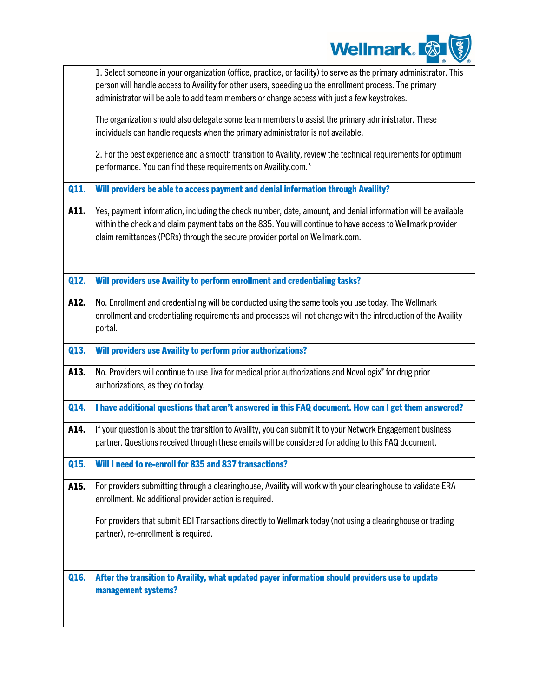

|      | 1. Select someone in your organization (office, practice, or facility) to serve as the primary administrator. This<br>person will handle access to Availity for other users, speeding up the enrollment process. The primary                                                                              |
|------|-----------------------------------------------------------------------------------------------------------------------------------------------------------------------------------------------------------------------------------------------------------------------------------------------------------|
|      | administrator will be able to add team members or change access with just a few keystrokes.                                                                                                                                                                                                               |
|      | The organization should also delegate some team members to assist the primary administrator. These<br>individuals can handle requests when the primary administrator is not available.                                                                                                                    |
|      | 2. For the best experience and a smooth transition to Availity, review the technical requirements for optimum<br>performance. You can find these requirements on Availity.com.*                                                                                                                           |
| Q11. | Will providers be able to access payment and denial information through Availity?                                                                                                                                                                                                                         |
| A11. | Yes, payment information, including the check number, date, amount, and denial information will be available<br>within the check and claim payment tabs on the 835. You will continue to have access to Wellmark provider<br>claim remittances (PCRs) through the secure provider portal on Wellmark.com. |
| Q12. | Will providers use Availity to perform enrollment and credentialing tasks?                                                                                                                                                                                                                                |
| A12. | No. Enrollment and credentialing will be conducted using the same tools you use today. The Wellmark<br>enrollment and credentialing requirements and processes will not change with the introduction of the Availity<br>portal.                                                                           |
| Q13. | <b>Will providers use Availity to perform prior authorizations?</b>                                                                                                                                                                                                                                       |
| A13. | No. Providers will continue to use Jiva for medical prior authorizations and NovoLogix® for drug prior<br>authorizations, as they do today.                                                                                                                                                               |
| Q14. | I have additional questions that aren't answered in this FAQ document. How can I get them answered?                                                                                                                                                                                                       |
| A14. | If your question is about the transition to Availity, you can submit it to your Network Engagement business<br>partner. Questions received through these emails will be considered for adding to this FAQ document.                                                                                       |
| Q15. | Will I need to re-enroll for 835 and 837 transactions?                                                                                                                                                                                                                                                    |
| A15. | For providers submitting through a clearinghouse, Availity will work with your clearinghouse to validate ERA<br>enrollment. No additional provider action is required.                                                                                                                                    |
|      | For providers that submit EDI Transactions directly to Wellmark today (not using a clearinghouse or trading<br>partner), re-enrollment is required.                                                                                                                                                       |
| Q16. | After the transition to Availity, what updated payer information should providers use to update<br>management systems?                                                                                                                                                                                    |